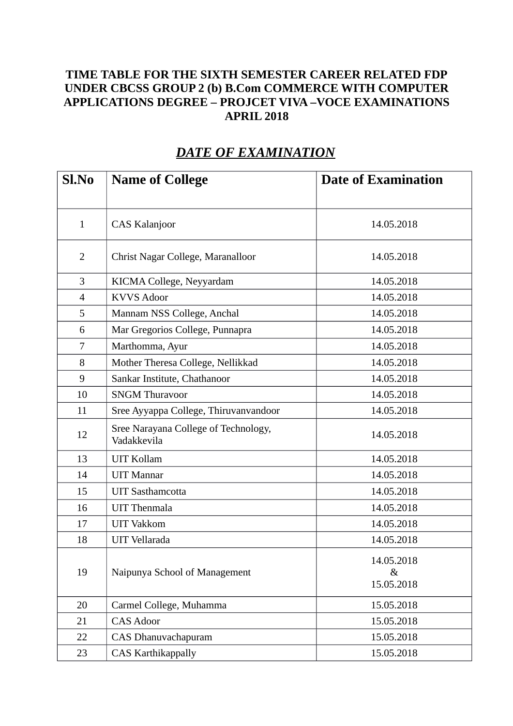## **TIME TABLE FOR THE SIXTH SEMESTER CAREER RELATED FDP UNDER CBCSS GROUP 2 (b) B.Com COMMERCE WITH COMPUTER APPLICATIONS DEGREE – PROJCET VIVA –VOCE EXAMINATIONS APRIL 2018**

| Sl.No          | <b>Name of College</b>                              | <b>Date of Examination</b>       |
|----------------|-----------------------------------------------------|----------------------------------|
|                |                                                     |                                  |
| $\mathbf{1}$   | <b>CAS Kalanjoor</b>                                | 14.05.2018                       |
| 2              | Christ Nagar College, Maranalloor                   | 14.05.2018                       |
| 3              | KICMA College, Neyyardam                            | 14.05.2018                       |
| $\overline{4}$ | <b>KVVS Adoor</b>                                   | 14.05.2018                       |
| 5              | Mannam NSS College, Anchal                          | 14.05.2018                       |
| 6              | Mar Gregorios College, Punnapra                     | 14.05.2018                       |
| 7              | Marthomma, Ayur                                     | 14.05.2018                       |
| 8              | Mother Theresa College, Nellikkad                   | 14.05.2018                       |
| 9              | Sankar Institute, Chathanoor                        | 14.05.2018                       |
| 10             | <b>SNGM Thuravoor</b>                               | 14.05.2018                       |
| 11             | Sree Ayyappa College, Thiruvanvandoor               | 14.05.2018                       |
| 12             | Sree Narayana College of Technology,<br>Vadakkevila | 14.05.2018                       |
| 13             | <b>UIT Kollam</b>                                   | 14.05.2018                       |
| 14             | <b>UIT Mannar</b>                                   | 14.05.2018                       |
| 15             | <b>UIT Sasthamcotta</b>                             | 14.05.2018                       |
| 16             | <b>UIT Thenmala</b>                                 | 14.05.2018                       |
| 17             | <b>UIT Vakkom</b>                                   | 14.05.2018                       |
| 18             | <b>UIT</b> Vellarada                                | 14.05.2018                       |
| 19             | Naipunya School of Management                       | 14.05.2018<br>$\&$<br>15.05.2018 |
| 20             | Carmel College, Muhamma                             | 15.05.2018                       |
| 21             | <b>CAS Adoor</b>                                    | 15.05.2018                       |
| 22             | CAS Dhanuvachapuram                                 | 15.05.2018                       |
| 23             | <b>CAS Karthikappally</b>                           | 15.05.2018                       |

## *DATE OF EXAMINATION*